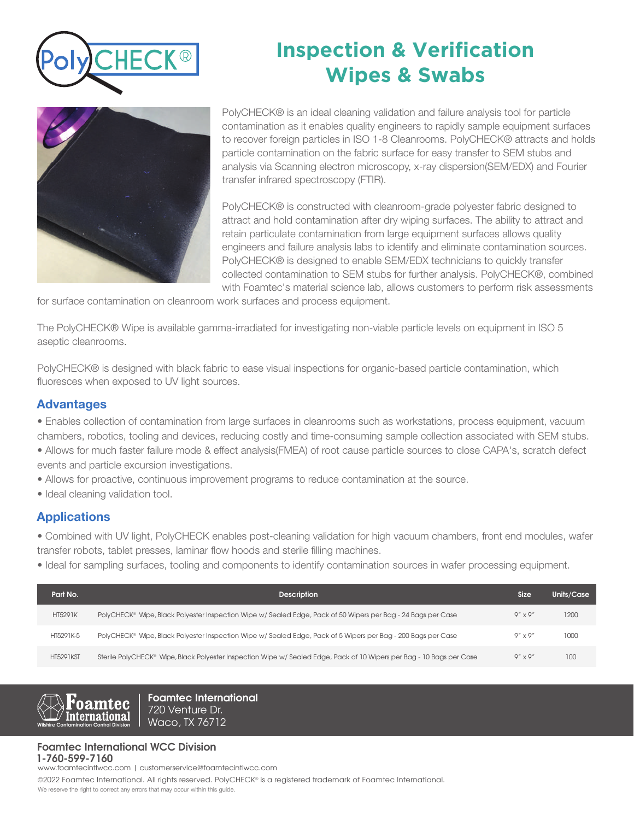

# **Inspection & Verification Wipes & Swabs**



PolyCHECK® is an ideal cleaning validation and failure analysis tool for particle contamination as it enables quality engineers to rapidly sample equipment surfaces to recover foreign particles in ISO 1-8 Cleanrooms. PolyCHECK® attracts and holds particle contamination on the fabric surface for easy transfer to SEM stubs and analysis via Scanning electron microscopy, x-ray dispersion(SEM/EDX) and Fourier transfer infrared spectroscopy (FTIR).

PolyCHECK® is constructed with cleanroom-grade polyester fabric designed to attract and hold contamination after dry wiping surfaces. The ability to attract and retain particulate contamination from large equipment surfaces allows quality engineers and failure analysis labs to identify and eliminate contamination sources. PolyCHECK® is designed to enable SEM/EDX technicians to quickly transfer collected contamination to SEM stubs for further analysis. PolyCHECK®, combined with Foamtec's material science lab, allows customers to perform risk assessments

for surface contamination on cleanroom work surfaces and process equipment.

The PolyCHECK® Wipe is available gamma-irradiated for investigating non-viable particle levels on equipment in ISO 5 aseptic cleanrooms.

PolyCHECK® is designed with black fabric to ease visual inspections for organic-based particle contamination, which fluoresces when exposed to UV light sources.

### Advantages

- Enables collection of contamination from large surfaces in cleanrooms such as workstations, process equipment, vacuum chambers, robotics, tooling and devices, reducing costly and time-consuming sample collection associated with SEM stubs.
- Allows for much faster failure mode & effect analysis(FMEA) of root cause particle sources to close CAPA's, scratch defect events and particle excursion investigations.
- Allows for proactive, continuous improvement programs to reduce contamination at the source.
- Ideal cleaning validation tool.

## Applications

• Combined with UV light, PolyCHECK enables post-cleaning validation for high vacuum chambers, front end modules, wafer transfer robots, tablet presses, laminar flow hoods and sterile filling machines.

• Ideal for sampling surfaces, tooling and components to identify contamination sources in wafer processing equipment.

| Part No.         | <b>Description</b>                                                                                                   | Size.            | Units/Case |
|------------------|----------------------------------------------------------------------------------------------------------------------|------------------|------------|
| <b>HT5291K</b>   | PolyCHECK® Wipe, Black Polyester Inspection Wipe w/ Sealed Edge, Pack of 50 Wipers per Bag - 24 Bags per Case        | $9'' \times 9''$ | 1200       |
| HT5291K-5        | PolyCHECK® Wipe, Black Polyester Inspection Wipe w/ Sealed Edge, Pack of 5 Wipers per Bag - 200 Bags per Case        | $9'' \times 9''$ | 1000       |
| <b>HT5291KST</b> | Sterile PolyCHECK® Wipe, Black Polyester Inspection Wipe w/Sealed Edge, Pack of 10 Wipers per Bag - 10 Bags per Case | $9'' \times 9''$ | $100 -$    |



**Foamtec International** 720 Venture Dr. Waco, TX 76712

### **Foamtec International WCC Division 1-760-599-7160**

www.foamtecintlwcc.com | customerservice@foamtecintlwcc.com

©2022 Foamtec International. All rights reserved. PolyCHECK® is a registered trademark of Foamtec International.

We reserve the right to correct any errors that may occur within this guide.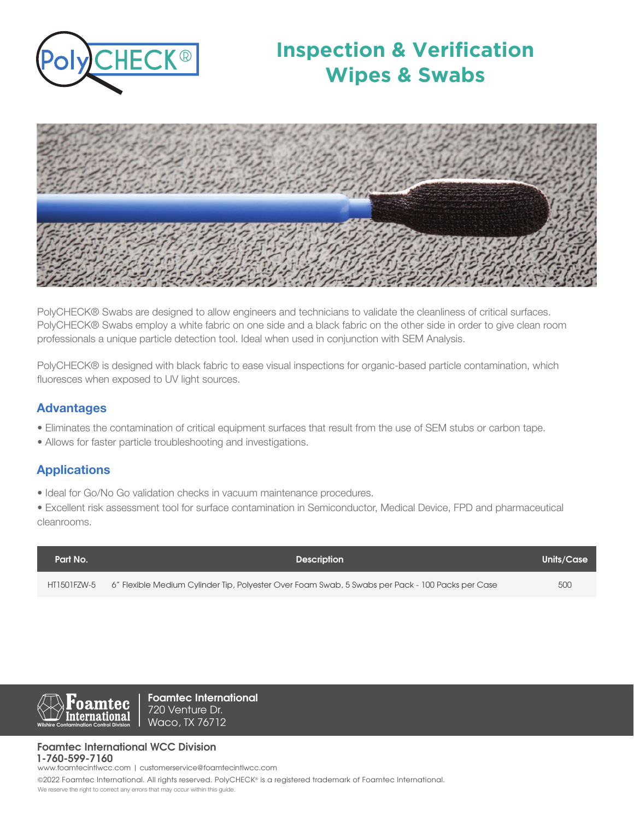

# **Inspection & Verification Wipes & Swabs**



PolyCHECK® Swabs are designed to allow engineers and technicians to validate the cleanliness of critical surfaces. PolyCHECK® Swabs employ a white fabric on one side and a black fabric on the other side in order to give clean room professionals a unique particle detection tool. Ideal when used in conjunction with SEM Analysis.

PolyCHECK® is designed with black fabric to ease visual inspections for organic-based particle contamination, which fluoresces when exposed to UV light sources.

### Advantages

- Eliminates the contamination of critical equipment surfaces that result from the use of SEM stubs or carbon tape.
- Allows for faster particle troubleshooting and investigations.

## Applications

• Ideal for Go/No Go validation checks in vacuum maintenance procedures.

• Excellent risk assessment tool for surface contamination in Semiconductor, Medical Device, FPD and pharmaceutical cleanrooms.

| Part No.    | <b>Description</b>                                                                               | Units/Case |
|-------------|--------------------------------------------------------------------------------------------------|------------|
| HT1501FZW-5 | 6" Flexible Medium Cylinder Tip, Polyester Over Foam Swab, 5 Swabs per Pack - 100 Packs per Case | 500        |



**Foamtec International** 720 Venture Dr. Waco, TX 76712

#### **Foamtec International WCC Division 1-760-599-7160**

www.foamtecintlwcc.com | customerservice@foamtecintlwcc.com

©2022 Foamtec International. All rights reserved. PolyCHECK® is a registered trademark of Foamtec International.

We reserve the right to correct any errors that may occur within this guide.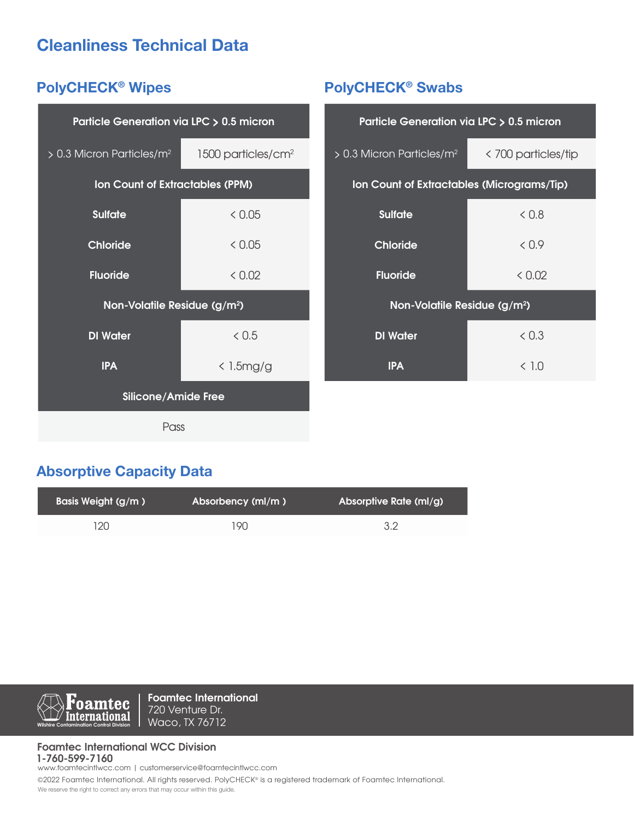# Cleanliness Technical Data

# PolyCHECK® Wipes

| Particle Generation via LPC > 0.5 micron |                                |  |  |  |  |
|------------------------------------------|--------------------------------|--|--|--|--|
| $> 0.3$ Micron Particles/m <sup>2</sup>  | 1500 particles/cm <sup>2</sup> |  |  |  |  |
| <b>Ion Count of Extractables (PPM)</b>   |                                |  |  |  |  |
| <b>Sulfate</b>                           | < 0.05                         |  |  |  |  |
| Chloride                                 | < 0.05                         |  |  |  |  |
| <b>Fluoride</b>                          | & 0.02                         |  |  |  |  |
| Non-Volatile Residue (g/m <sup>2</sup> ) |                                |  |  |  |  |
| <b>DI</b> Water                          | & 0.5                          |  |  |  |  |
| <b>IPA</b>                               | $\langle$ 1.5mg/g              |  |  |  |  |
| <b>Silicone/Amide Free</b>               |                                |  |  |  |  |
| Pass                                     |                                |  |  |  |  |

# PolyCHECK® Swabs

| Particle Generation via LPC > 0.5 micron   |                     |  |  |  |  |
|--------------------------------------------|---------------------|--|--|--|--|
| $> 0.3$ Micron Particles/m <sup>2</sup>    | < 700 particles/tip |  |  |  |  |
| Ion Count of Extractables (Micrograms/Tip) |                     |  |  |  |  |
| <b>Sulfate</b>                             | &0.8                |  |  |  |  |
| <b>Chloride</b>                            | &0.9                |  |  |  |  |
| <b>Fluoride</b>                            | < 0.02              |  |  |  |  |
| Non-Volatile Residue (g/m <sup>2</sup> )   |                     |  |  |  |  |
| <b>DI</b> Water                            | < 0.3               |  |  |  |  |
| IPA                                        | < 1.0               |  |  |  |  |

# Absorptive Capacity Data

| Basis Weight (g/m) | <b>Absorbency (ml/m)</b> | Absorptive Rate (ml/g) |
|--------------------|--------------------------|------------------------|
| 120                | 19N                      | 3.2                    |



**Foamtec International** 720 Venture Dr. Waco, TX 76712

#### **Foamtec International WCC Division 1-760-599-7160**

www.foamtecintlwcc.com | customerservice@foamtecintlwcc.com

©2022 Foamtec International. All rights reserved. PolyCHECK® is a registered trademark of Foamtec International. We reserve the right to correct any errors that may occur within this guide.